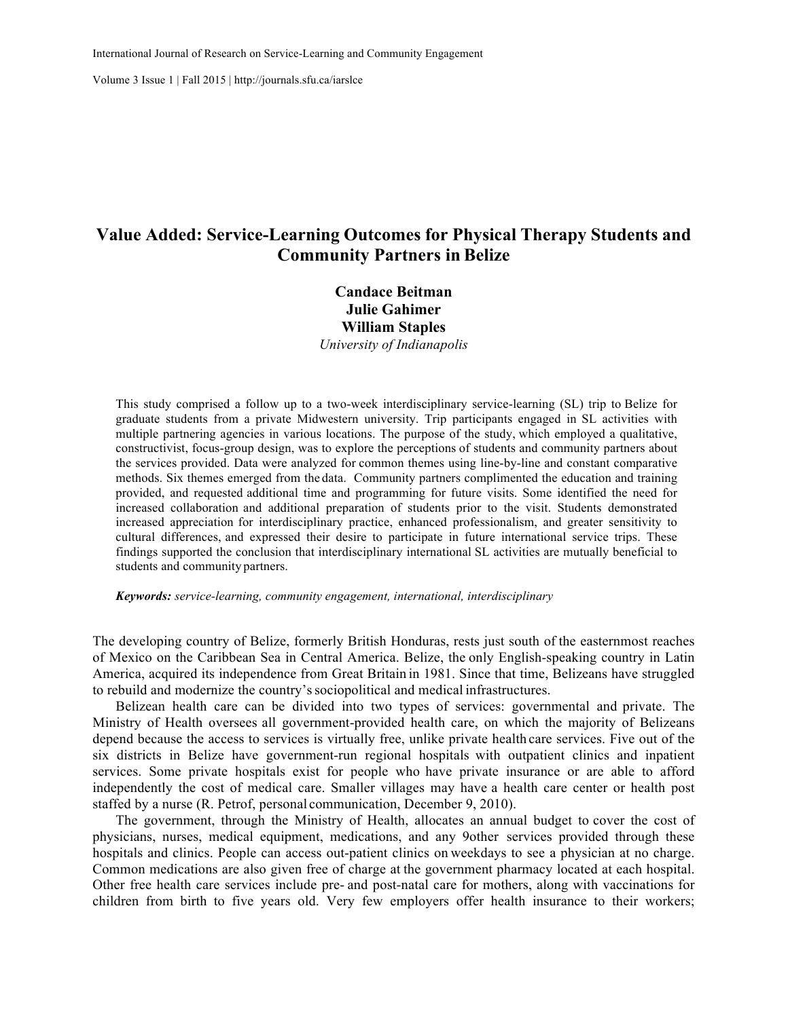Volume 3 Issue 1 | Fall 2015 | http://journals.sfu.ca/iarslce

# **Value Added: Service-Learning Outcomes for Physical Therapy Students and Community Partners in Belize**

**Candace Beitman Julie Gahimer William Staples** *University of Indianapolis*

This study comprised a follow up to a two-week interdisciplinary service-learning (SL) trip to Belize for graduate students from a private Midwestern university. Trip participants engaged in SL activities with multiple partnering agencies in various locations. The purpose of the study, which employed a qualitative, constructivist, focus-group design, was to explore the perceptions of students and community partners about the services provided. Data were analyzed for common themes using line-by-line and constant comparative methods. Six themes emerged from the data. Community partners complimented the education and training provided, and requested additional time and programming for future visits. Some identified the need for increased collaboration and additional preparation of students prior to the visit. Students demonstrated increased appreciation for interdisciplinary practice, enhanced professionalism, and greater sensitivity to cultural differences, and expressed their desire to participate in future international service trips. These findings supported the conclusion that interdisciplinary international SL activities are mutually beneficial to students and community partners.

*Keywords: service-learning, community engagement, international, interdisciplinary*

The developing country of Belize, formerly British Honduras, rests just south of the easternmost reaches of Mexico on the Caribbean Sea in Central America. Belize, the only English-speaking country in Latin America, acquired its independence from Great Britain in 1981. Since that time, Belizeans have struggled to rebuild and modernize the country'ssociopolitical and medical infrastructures.

Belizean health care can be divided into two types of services: governmental and private. The Ministry of Health oversees all government-provided health care, on which the majority of Belizeans depend because the access to services is virtually free, unlike private health care services. Five out of the six districts in Belize have government-run regional hospitals with outpatient clinics and inpatient services. Some private hospitals exist for people who have private insurance or are able to afford independently the cost of medical care. Smaller villages may have a health care center or health post staffed by a nurse (R. Petrof, personal communication, December 9, 2010).

The government, through the Ministry of Health, allocates an annual budget to cover the cost of physicians, nurses, medical equipment, medications, and any 9other services provided through these hospitals and clinics. People can access out-patient clinics on weekdays to see a physician at no charge. Common medications are also given free of charge at the government pharmacy located at each hospital. Other free health care services include pre- and post-natal care for mothers, along with vaccinations for children from birth to five years old. Very few employers offer health insurance to their workers;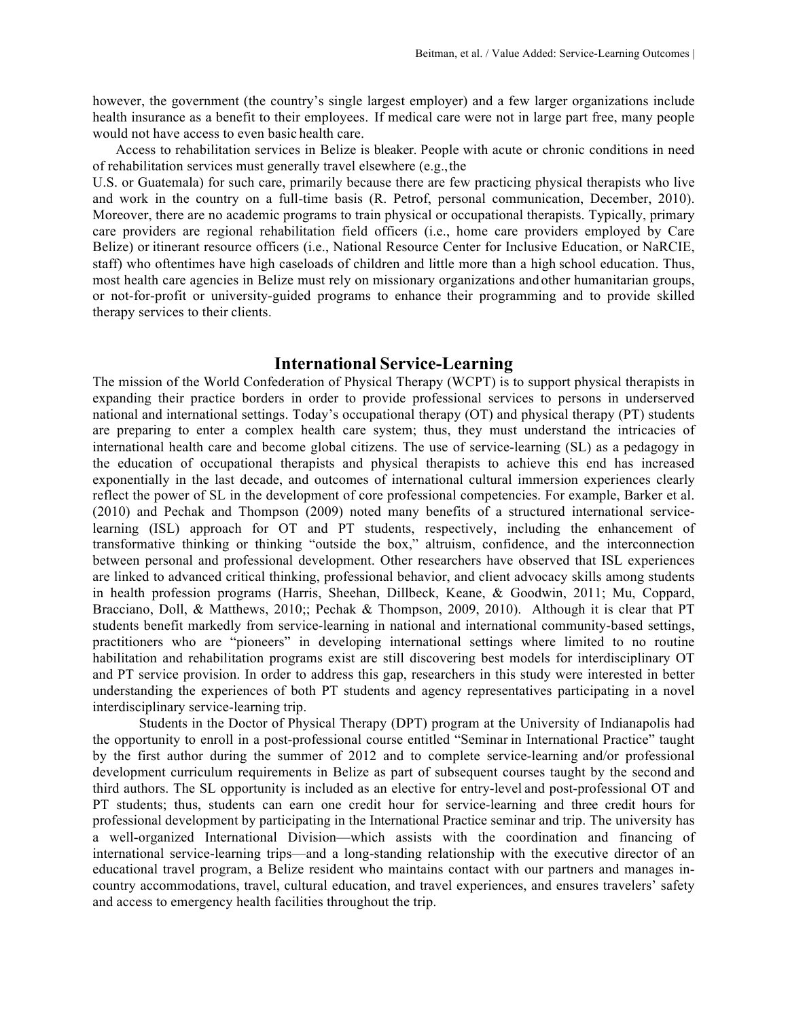however, the government (the country's single largest employer) and a few larger organizations include health insurance as a benefit to their employees. If medical care were not in large part free, many people would not have access to even basic health care.

Access to rehabilitation services in Belize is bleaker. People with acute or chronic conditions in need of rehabilitation services must generally travel elsewhere (e.g.,the

U.S. or Guatemala) for such care, primarily because there are few practicing physical therapists who live and work in the country on a full-time basis (R. Petrof, personal communication, December, 2010). Moreover, there are no academic programs to train physical or occupational therapists. Typically, primary care providers are regional rehabilitation field officers (i.e., home care providers employed by Care Belize) or itinerant resource officers (i.e., National Resource Center for Inclusive Education, or NaRCIE, staff) who oftentimes have high caseloads of children and little more than a high school education. Thus, most health care agencies in Belize must rely on missionary organizations and other humanitarian groups, or not-for-profit or university-guided programs to enhance their programming and to provide skilled therapy services to their clients.

# **International Service-Learning**

The mission of the World Confederation of Physical Therapy (WCPT) is to support physical therapists in expanding their practice borders in order to provide professional services to persons in underserved national and international settings. Today's occupational therapy (OT) and physical therapy (PT) students are preparing to enter a complex health care system; thus, they must understand the intricacies of international health care and become global citizens. The use of service-learning (SL) as a pedagogy in the education of occupational therapists and physical therapists to achieve this end has increased exponentially in the last decade, and outcomes of international cultural immersion experiences clearly reflect the power of SL in the development of core professional competencies. For example, Barker et al. (2010) and Pechak and Thompson (2009) noted many benefits of a structured international servicelearning (ISL) approach for OT and PT students, respectively, including the enhancement of transformative thinking or thinking "outside the box," altruism, confidence, and the interconnection between personal and professional development. Other researchers have observed that ISL experiences are linked to advanced critical thinking, professional behavior, and client advocacy skills among students in health profession programs (Harris, Sheehan, Dillbeck, Keane, & Goodwin, 2011; Mu, Coppard, Bracciano, Doll, & Matthews, 2010;; Pechak & Thompson, 2009, 2010). Although it is clear that PT students benefit markedly from service-learning in national and international community-based settings, practitioners who are "pioneers" in developing international settings where limited to no routine habilitation and rehabilitation programs exist are still discovering best models for interdisciplinary OT and PT service provision. In order to address this gap, researchers in this study were interested in better understanding the experiences of both PT students and agency representatives participating in a novel interdisciplinary service-learning trip.

Students in the Doctor of Physical Therapy (DPT) program at the University of Indianapolis had the opportunity to enroll in a post-professional course entitled "Seminar in International Practice" taught by the first author during the summer of 2012 and to complete service-learning and/or professional development curriculum requirements in Belize as part of subsequent courses taught by the second and third authors. The SL opportunity is included as an elective for entry-level and post-professional OT and PT students; thus, students can earn one credit hour for service-learning and three credit hours for professional development by participating in the International Practice seminar and trip. The university has a well-organized International Division—which assists with the coordination and financing of international service-learning trips—and a long-standing relationship with the executive director of an educational travel program, a Belize resident who maintains contact with our partners and manages incountry accommodations, travel, cultural education, and travel experiences, and ensures travelers' safety and access to emergency health facilities throughout the trip.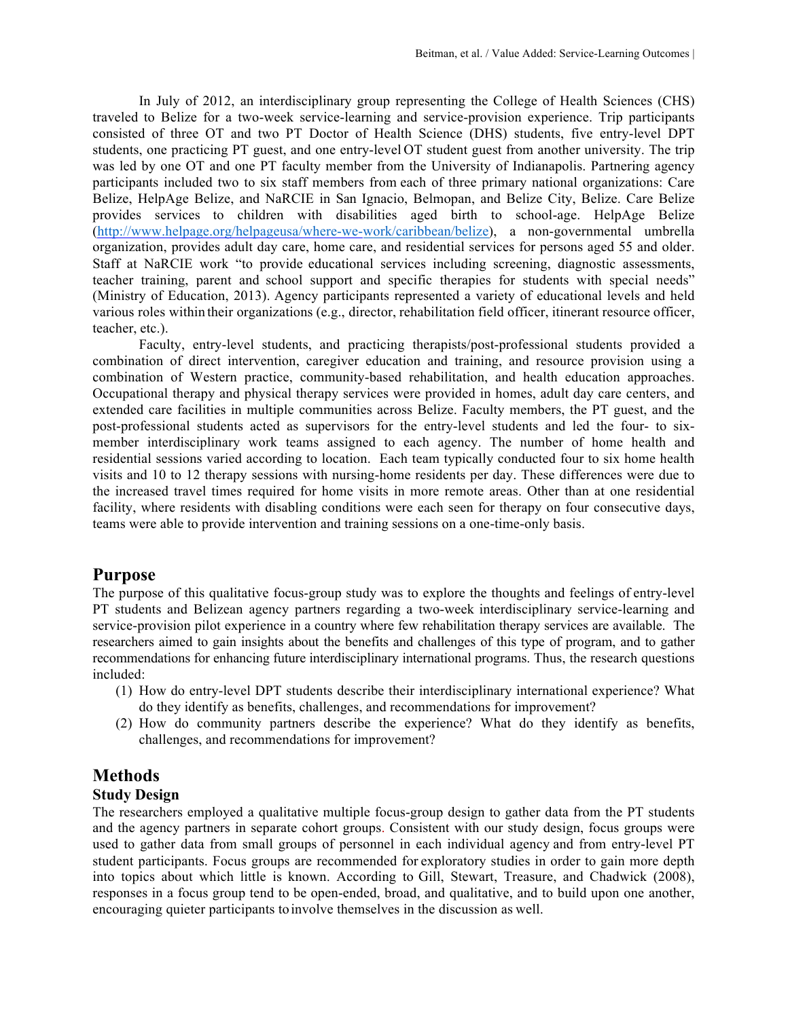In July of 2012, an interdisciplinary group representing the College of Health Sciences (CHS) traveled to Belize for a two-week service-learning and service-provision experience. Trip participants consisted of three OT and two PT Doctor of Health Science (DHS) students, five entry-level DPT students, one practicing PT guest, and one entry-level OT student guest from another university. The trip was led by one OT and one PT faculty member from the University of Indianapolis. Partnering agency participants included two to six staff members from each of three primary national organizations: Care Belize, HelpAge Belize, and NaRCIE in San Ignacio, Belmopan, and Belize City, Belize. Care Belize provides services to children with disabilities aged birth to school-age. HelpAge Belize (http://www.helpage.org/helpageusa/where-we-work/caribbean/belize), a non-governmental umbrella organization, provides adult day care, home care, and residential services for persons aged 55 and older. Staff at NaRCIE work "to provide educational services including screening, diagnostic assessments, teacher training, parent and school support and specific therapies for students with special needs" (Ministry of Education, 2013). Agency participants represented a variety of educational levels and held various roles within their organizations (e.g., director, rehabilitation field officer, itinerant resource officer, teacher, etc.).

Faculty, entry-level students, and practicing therapists/post-professional students provided a combination of direct intervention, caregiver education and training, and resource provision using a combination of Western practice, community-based rehabilitation, and health education approaches. Occupational therapy and physical therapy services were provided in homes, adult day care centers, and extended care facilities in multiple communities across Belize. Faculty members, the PT guest, and the post-professional students acted as supervisors for the entry-level students and led the four- to sixmember interdisciplinary work teams assigned to each agency. The number of home health and residential sessions varied according to location. Each team typically conducted four to six home health visits and 10 to 12 therapy sessions with nursing-home residents per day. These differences were due to the increased travel times required for home visits in more remote areas. Other than at one residential facility, where residents with disabling conditions were each seen for therapy on four consecutive days, teams were able to provide intervention and training sessions on a one-time-only basis.

# **Purpose**

The purpose of this qualitative focus-group study was to explore the thoughts and feelings of entry-level PT students and Belizean agency partners regarding a two-week interdisciplinary service-learning and service-provision pilot experience in a country where few rehabilitation therapy services are available. The researchers aimed to gain insights about the benefits and challenges of this type of program, and to gather recommendations for enhancing future interdisciplinary international programs. Thus, the research questions included:

- (1) How do entry-level DPT students describe their interdisciplinary international experience? What do they identify as benefits, challenges, and recommendations for improvement?
- (2) How do community partners describe the experience? What do they identify as benefits, challenges, and recommendations for improvement?

# **Methods**

# **Study Design**

The researchers employed a qualitative multiple focus-group design to gather data from the PT students and the agency partners in separate cohort groups. Consistent with our study design, focus groups were used to gather data from small groups of personnel in each individual agency and from entry-level PT student participants. Focus groups are recommended for exploratory studies in order to gain more depth into topics about which little is known. According to Gill, Stewart, Treasure, and Chadwick (2008), responses in a focus group tend to be open-ended, broad, and qualitative, and to build upon one another, encouraging quieter participants toinvolve themselves in the discussion as well.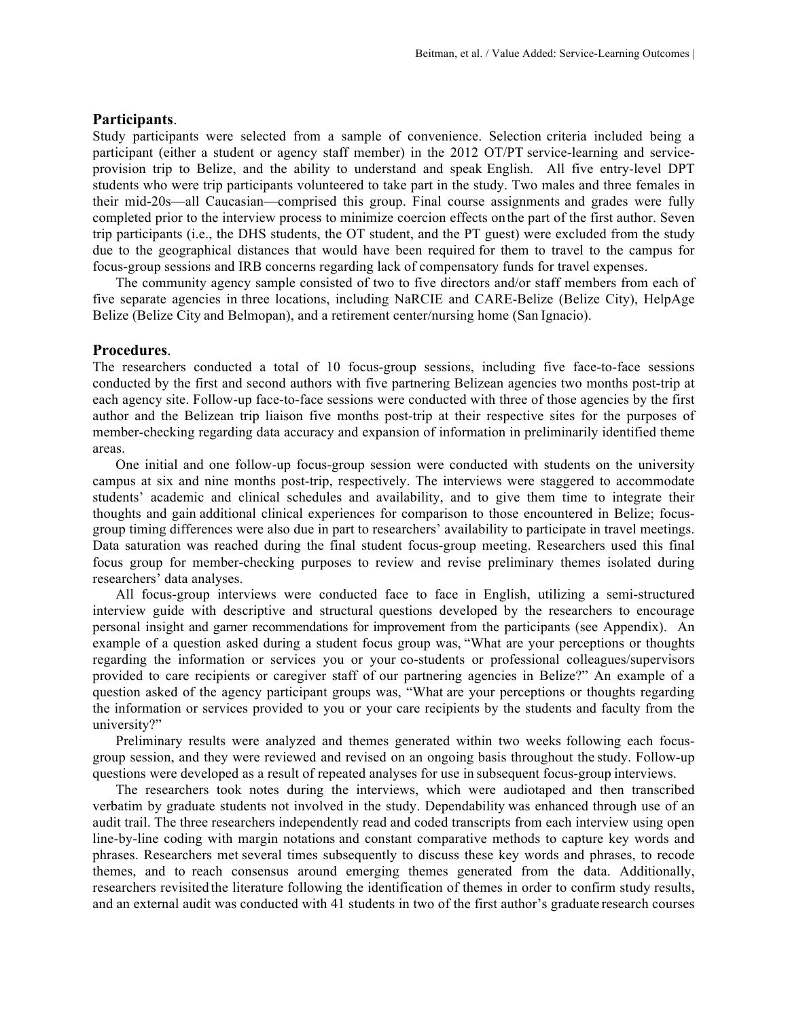### **Participants**.

Study participants were selected from a sample of convenience. Selection criteria included being a participant (either a student or agency staff member) in the 2012 OT/PT service-learning and serviceprovision trip to Belize, and the ability to understand and speak English. All five entry-level DPT students who were trip participants volunteered to take part in the study. Two males and three females in their mid-20s—all Caucasian—comprised this group. Final course assignments and grades were fully completed prior to the interview process to minimize coercion effects onthe part of the first author. Seven trip participants (i.e., the DHS students, the OT student, and the PT guest) were excluded from the study due to the geographical distances that would have been required for them to travel to the campus for focus-group sessions and IRB concerns regarding lack of compensatory funds for travel expenses.

The community agency sample consisted of two to five directors and/or staff members from each of five separate agencies in three locations, including NaRCIE and CARE-Belize (Belize City), HelpAge Belize (Belize City and Belmopan), and a retirement center/nursing home (San Ignacio).

#### **Procedures**.

The researchers conducted a total of 10 focus-group sessions, including five face-to-face sessions conducted by the first and second authors with five partnering Belizean agencies two months post-trip at each agency site. Follow-up face-to-face sessions were conducted with three of those agencies by the first author and the Belizean trip liaison five months post-trip at their respective sites for the purposes of member-checking regarding data accuracy and expansion of information in preliminarily identified theme areas.

One initial and one follow-up focus-group session were conducted with students on the university campus at six and nine months post-trip, respectively. The interviews were staggered to accommodate students' academic and clinical schedules and availability, and to give them time to integrate their thoughts and gain additional clinical experiences for comparison to those encountered in Belize; focusgroup timing differences were also due in part to researchers' availability to participate in travel meetings. Data saturation was reached during the final student focus-group meeting. Researchers used this final focus group for member-checking purposes to review and revise preliminary themes isolated during researchers' data analyses.

All focus-group interviews were conducted face to face in English, utilizing a semi-structured interview guide with descriptive and structural questions developed by the researchers to encourage personal insight and garner recommendations for improvement from the participants (see Appendix). An example of a question asked during a student focus group was, "What are your perceptions or thoughts regarding the information or services you or your co-students or professional colleagues/supervisors provided to care recipients or caregiver staff of our partnering agencies in Belize?" An example of a question asked of the agency participant groups was, "What are your perceptions or thoughts regarding the information or services provided to you or your care recipients by the students and faculty from the university?"

Preliminary results were analyzed and themes generated within two weeks following each focusgroup session, and they were reviewed and revised on an ongoing basis throughout the study. Follow-up questions were developed as a result of repeated analyses for use in subsequent focus-group interviews.

The researchers took notes during the interviews, which were audiotaped and then transcribed verbatim by graduate students not involved in the study. Dependability was enhanced through use of an audit trail. The three researchers independently read and coded transcripts from each interview using open line-by-line coding with margin notations and constant comparative methods to capture key words and phrases. Researchers met several times subsequently to discuss these key words and phrases, to recode themes, and to reach consensus around emerging themes generated from the data. Additionally, researchers revisited the literature following the identification of themes in order to confirm study results, and an external audit was conducted with 41 students in two of the first author's graduate research courses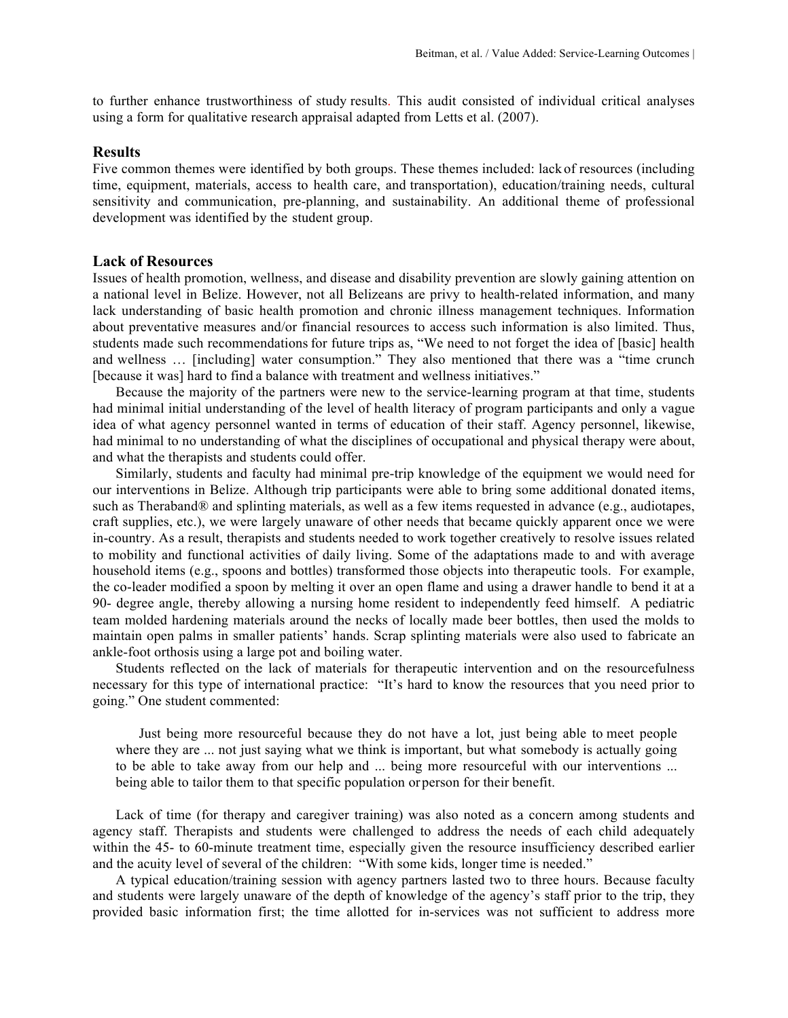to further enhance trustworthiness of study results. This audit consisted of individual critical analyses using a form for qualitative research appraisal adapted from Letts et al. (2007).

#### **Results**

Five common themes were identified by both groups. These themes included: lack of resources (including time, equipment, materials, access to health care, and transportation), education/training needs, cultural sensitivity and communication, pre-planning, and sustainability. An additional theme of professional development was identified by the student group.

#### **Lack of Resources**

Issues of health promotion, wellness, and disease and disability prevention are slowly gaining attention on a national level in Belize. However, not all Belizeans are privy to health-related information, and many lack understanding of basic health promotion and chronic illness management techniques. Information about preventative measures and/or financial resources to access such information is also limited. Thus, students made such recommendations for future trips as, "We need to not forget the idea of [basic] health and wellness … [including] water consumption." They also mentioned that there was a "time crunch [because it was] hard to find a balance with treatment and wellness initiatives."

Because the majority of the partners were new to the service-learning program at that time, students had minimal initial understanding of the level of health literacy of program participants and only a vague idea of what agency personnel wanted in terms of education of their staff. Agency personnel, likewise, had minimal to no understanding of what the disciplines of occupational and physical therapy were about, and what the therapists and students could offer.

Similarly, students and faculty had minimal pre-trip knowledge of the equipment we would need for our interventions in Belize. Although trip participants were able to bring some additional donated items, such as Theraband® and splinting materials, as well as a few items requested in advance (e.g., audiotapes, craft supplies, etc.), we were largely unaware of other needs that became quickly apparent once we were in-country. As a result, therapists and students needed to work together creatively to resolve issues related to mobility and functional activities of daily living. Some of the adaptations made to and with average household items (e.g., spoons and bottles) transformed those objects into therapeutic tools. For example, the co-leader modified a spoon by melting it over an open flame and using a drawer handle to bend it at a 90- degree angle, thereby allowing a nursing home resident to independently feed himself. A pediatric team molded hardening materials around the necks of locally made beer bottles, then used the molds to maintain open palms in smaller patients' hands. Scrap splinting materials were also used to fabricate an ankle-foot orthosis using a large pot and boiling water.

Students reflected on the lack of materials for therapeutic intervention and on the resourcefulness necessary for this type of international practice: "It's hard to know the resources that you need prior to going." One student commented:

Just being more resourceful because they do not have a lot, just being able to meet people where they are ... not just saying what we think is important, but what somebody is actually going to be able to take away from our help and ... being more resourceful with our interventions ... being able to tailor them to that specific population orperson for their benefit.

Lack of time (for therapy and caregiver training) was also noted as a concern among students and agency staff. Therapists and students were challenged to address the needs of each child adequately within the 45- to 60-minute treatment time, especially given the resource insufficiency described earlier and the acuity level of several of the children: "With some kids, longer time is needed."

A typical education/training session with agency partners lasted two to three hours. Because faculty and students were largely unaware of the depth of knowledge of the agency's staff prior to the trip, they provided basic information first; the time allotted for in-services was not sufficient to address more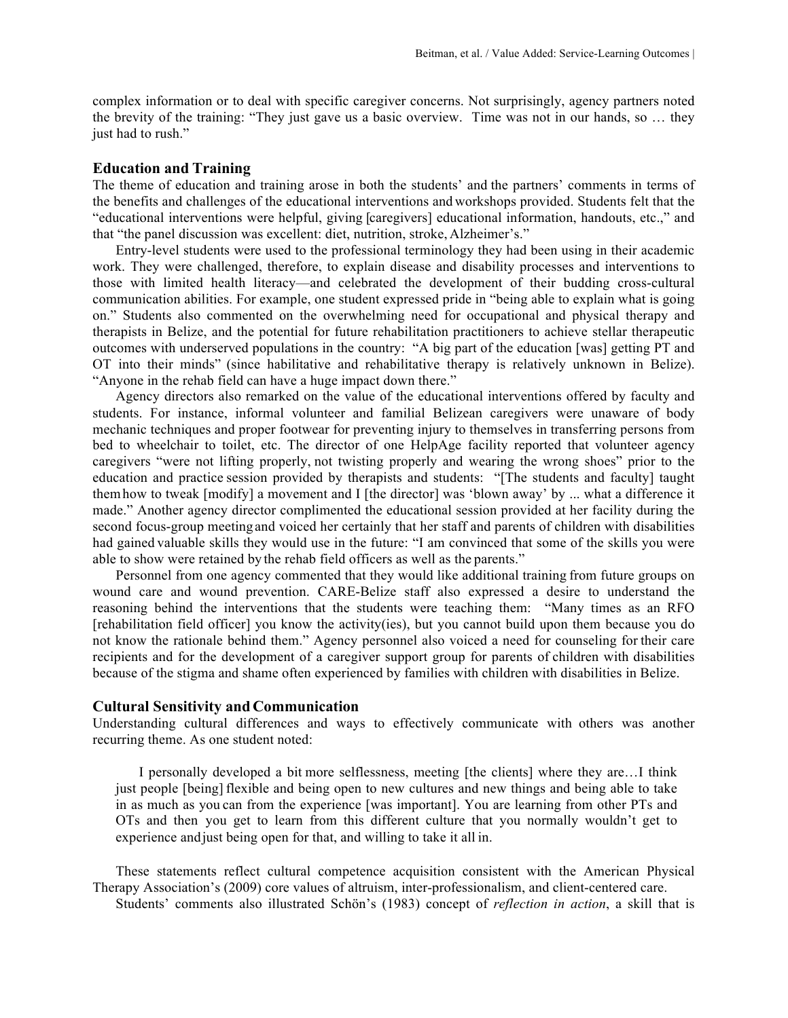complex information or to deal with specific caregiver concerns. Not surprisingly, agency partners noted the brevity of the training: "They just gave us a basic overview. Time was not in our hands, so … they just had to rush."

#### **Education and Training**

The theme of education and training arose in both the students' and the partners' comments in terms of the benefits and challenges of the educational interventions and workshops provided. Students felt that the "educational interventions were helpful, giving [caregivers] educational information, handouts, etc.," and that "the panel discussion was excellent: diet, nutrition, stroke, Alzheimer's."

Entry-level students were used to the professional terminology they had been using in their academic work. They were challenged, therefore, to explain disease and disability processes and interventions to those with limited health literacy—and celebrated the development of their budding cross-cultural communication abilities. For example, one student expressed pride in "being able to explain what is going on." Students also commented on the overwhelming need for occupational and physical therapy and therapists in Belize, and the potential for future rehabilitation practitioners to achieve stellar therapeutic outcomes with underserved populations in the country: "A big part of the education [was] getting PT and OT into their minds" (since habilitative and rehabilitative therapy is relatively unknown in Belize). "Anyone in the rehab field can have a huge impact down there."

Agency directors also remarked on the value of the educational interventions offered by faculty and students. For instance, informal volunteer and familial Belizean caregivers were unaware of body mechanic techniques and proper footwear for preventing injury to themselves in transferring persons from bed to wheelchair to toilet, etc. The director of one HelpAge facility reported that volunteer agency caregivers "were not lifting properly, not twisting properly and wearing the wrong shoes" prior to the education and practice session provided by therapists and students: "[The students and faculty] taught themhow to tweak [modify] a movement and I [the director] was 'blown away' by ... what a difference it made." Another agency director complimented the educational session provided at her facility during the second focus-group meeting and voiced her certainly that her staff and parents of children with disabilities had gained valuable skills they would use in the future: "I am convinced that some of the skills you were able to show were retained by the rehab field officers as well as the parents."

Personnel from one agency commented that they would like additional training from future groups on wound care and wound prevention. CARE-Belize staff also expressed a desire to understand the reasoning behind the interventions that the students were teaching them: "Many times as an RFO [rehabilitation field officer] you know the activity(ies), but you cannot build upon them because you do not know the rationale behind them." Agency personnel also voiced a need for counseling for their care recipients and for the development of a caregiver support group for parents of children with disabilities because of the stigma and shame often experienced by families with children with disabilities in Belize.

#### **Cultural Sensitivity and Communication**

Understanding cultural differences and ways to effectively communicate with others was another recurring theme. As one student noted:

I personally developed a bit more selflessness, meeting [the clients] where they are…I think just people [being] flexible and being open to new cultures and new things and being able to take in as much as you can from the experience [was important]. You are learning from other PTs and OTs and then you get to learn from this different culture that you normally wouldn't get to experience andjust being open for that, and willing to take it all in.

These statements reflect cultural competence acquisition consistent with the American Physical Therapy Association's (2009) core values of altruism, inter-professionalism, and client-centered care. Students' comments also illustrated Schön's (1983) concept of *reflection in action*, a skill that is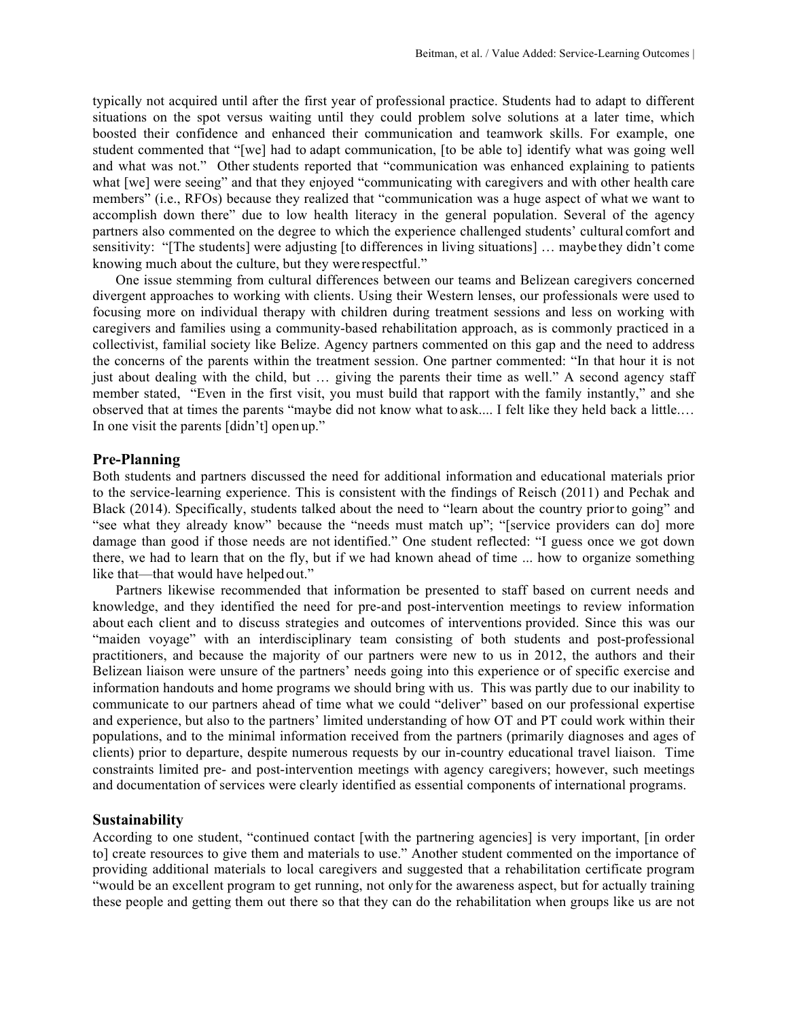typically not acquired until after the first year of professional practice. Students had to adapt to different situations on the spot versus waiting until they could problem solve solutions at a later time, which boosted their confidence and enhanced their communication and teamwork skills. For example, one student commented that "[we] had to adapt communication, [to be able to] identify what was going well and what was not." Other students reported that "communication was enhanced explaining to patients what [we] were seeing" and that they enjoyed "communicating with caregivers and with other health care members" (i.e., RFOs) because they realized that "communication was a huge aspect of what we want to accomplish down there" due to low health literacy in the general population. Several of the agency partners also commented on the degree to which the experience challenged students' cultural comfort and sensitivity: "[The students] were adjusting [to differences in living situations] … maybe they didn't come knowing much about the culture, but they were respectful."

One issue stemming from cultural differences between our teams and Belizean caregivers concerned divergent approaches to working with clients. Using their Western lenses, our professionals were used to focusing more on individual therapy with children during treatment sessions and less on working with caregivers and families using a community-based rehabilitation approach, as is commonly practiced in a collectivist, familial society like Belize. Agency partners commented on this gap and the need to address the concerns of the parents within the treatment session. One partner commented: "In that hour it is not just about dealing with the child, but … giving the parents their time as well." A second agency staff member stated, "Even in the first visit, you must build that rapport with the family instantly," and she observed that at times the parents "maybe did not know what to ask.... I felt like they held back a little.… In one visit the parents [didn't] open up."

#### **Pre-Planning**

Both students and partners discussed the need for additional information and educational materials prior to the service-learning experience. This is consistent with the findings of Reisch (2011) and Pechak and Black (2014). Specifically, students talked about the need to "learn about the country priorto going" and "see what they already know" because the "needs must match up"; "[service providers can do] more damage than good if those needs are not identified." One student reflected: "I guess once we got down there, we had to learn that on the fly, but if we had known ahead of time ... how to organize something like that—that would have helped out."

Partners likewise recommended that information be presented to staff based on current needs and knowledge, and they identified the need for pre-and post-intervention meetings to review information about each client and to discuss strategies and outcomes of interventions provided. Since this was our "maiden voyage" with an interdisciplinary team consisting of both students and post-professional practitioners, and because the majority of our partners were new to us in 2012, the authors and their Belizean liaison were unsure of the partners' needs going into this experience or of specific exercise and information handouts and home programs we should bring with us. This was partly due to our inability to communicate to our partners ahead of time what we could "deliver" based on our professional expertise and experience, but also to the partners' limited understanding of how OT and PT could work within their populations, and to the minimal information received from the partners (primarily diagnoses and ages of clients) prior to departure, despite numerous requests by our in-country educational travel liaison. Time constraints limited pre- and post-intervention meetings with agency caregivers; however, such meetings and documentation of services were clearly identified as essential components of international programs.

#### **Sustainability**

According to one student, "continued contact [with the partnering agencies] is very important, [in order to] create resources to give them and materials to use." Another student commented on the importance of providing additional materials to local caregivers and suggested that a rehabilitation certificate program "would be an excellent program to get running, not onlyfor the awareness aspect, but for actually training these people and getting them out there so that they can do the rehabilitation when groups like us are not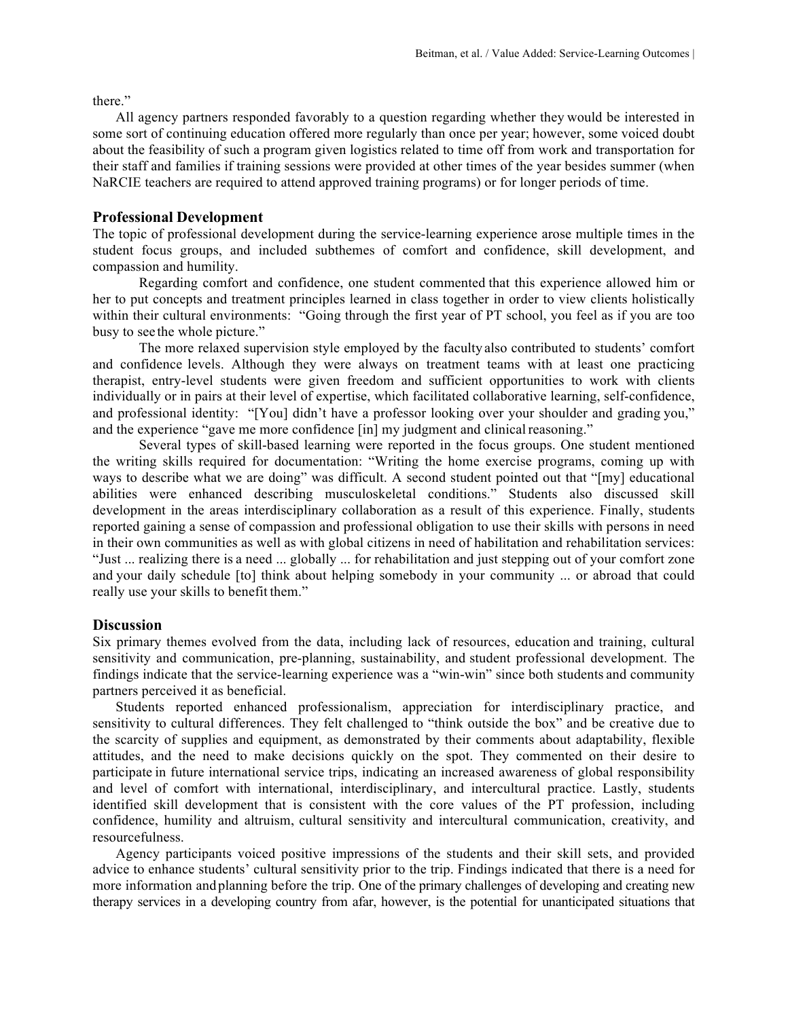there."

All agency partners responded favorably to a question regarding whether they would be interested in some sort of continuing education offered more regularly than once per year; however, some voiced doubt about the feasibility of such a program given logistics related to time off from work and transportation for their staff and families if training sessions were provided at other times of the year besides summer (when NaRCIE teachers are required to attend approved training programs) or for longer periods of time.

### **Professional Development**

The topic of professional development during the service-learning experience arose multiple times in the student focus groups, and included subthemes of comfort and confidence, skill development, and compassion and humility.

Regarding comfort and confidence, one student commented that this experience allowed him or her to put concepts and treatment principles learned in class together in order to view clients holistically within their cultural environments: "Going through the first year of PT school, you feel as if you are too busy to see the whole picture."

The more relaxed supervision style employed by the faculty also contributed to students' comfort and confidence levels. Although they were always on treatment teams with at least one practicing therapist, entry-level students were given freedom and sufficient opportunities to work with clients individually or in pairs at their level of expertise, which facilitated collaborative learning, self-confidence, and professional identity: "[You] didn't have a professor looking over your shoulder and grading you," and the experience "gave me more confidence [in] my judgment and clinical reasoning."

Several types of skill-based learning were reported in the focus groups. One student mentioned the writing skills required for documentation: "Writing the home exercise programs, coming up with ways to describe what we are doing" was difficult. A second student pointed out that "[my] educational abilities were enhanced describing musculoskeletal conditions." Students also discussed skill development in the areas interdisciplinary collaboration as a result of this experience. Finally, students reported gaining a sense of compassion and professional obligation to use their skills with persons in need in their own communities as well as with global citizens in need of habilitation and rehabilitation services: "Just ... realizing there is a need ... globally ... for rehabilitation and just stepping out of your comfort zone and your daily schedule [to] think about helping somebody in your community ... or abroad that could really use your skills to benefit them."

## **Discussion**

Six primary themes evolved from the data, including lack of resources, education and training, cultural sensitivity and communication, pre-planning, sustainability, and student professional development. The findings indicate that the service-learning experience was a "win-win" since both students and community partners perceived it as beneficial.

Students reported enhanced professionalism, appreciation for interdisciplinary practice, and sensitivity to cultural differences. They felt challenged to "think outside the box" and be creative due to the scarcity of supplies and equipment, as demonstrated by their comments about adaptability, flexible attitudes, and the need to make decisions quickly on the spot. They commented on their desire to participate in future international service trips, indicating an increased awareness of global responsibility and level of comfort with international, interdisciplinary, and intercultural practice. Lastly, students identified skill development that is consistent with the core values of the PT profession, including confidence, humility and altruism, cultural sensitivity and intercultural communication, creativity, and resourcefulness.

Agency participants voiced positive impressions of the students and their skill sets, and provided advice to enhance students' cultural sensitivity prior to the trip. Findings indicated that there is a need for more information and planning before the trip. One of the primary challenges of developing and creating new therapy services in a developing country from afar, however, is the potential for unanticipated situations that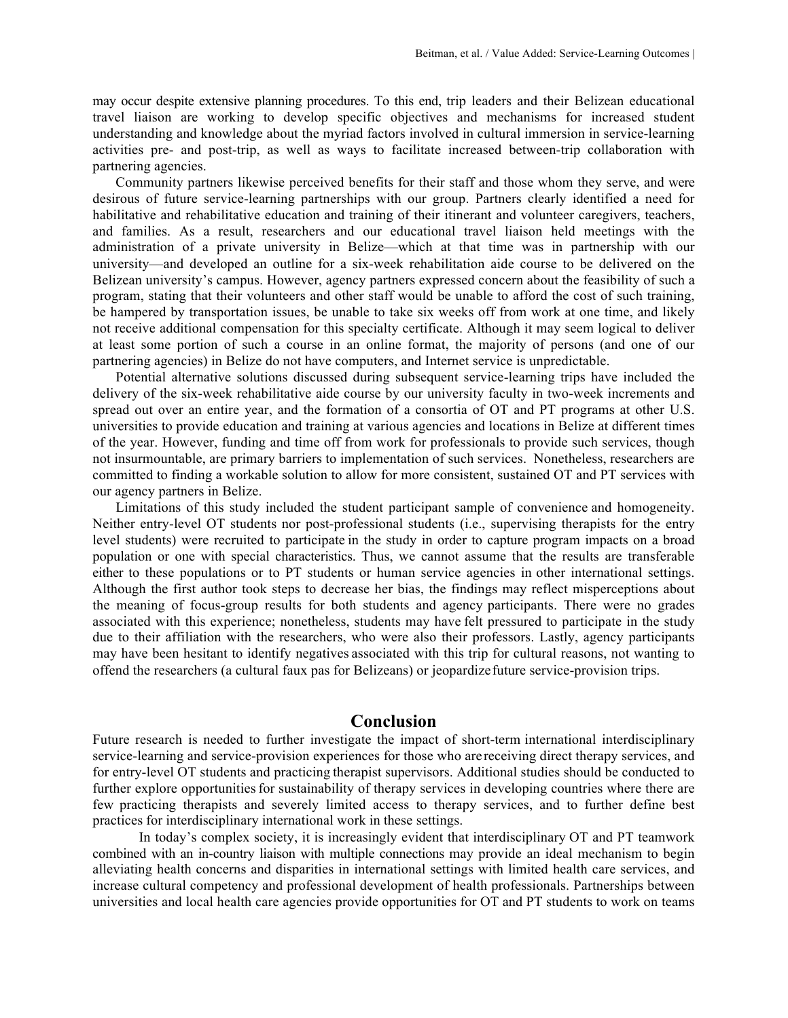may occur despite extensive planning procedures. To this end, trip leaders and their Belizean educational travel liaison are working to develop specific objectives and mechanisms for increased student understanding and knowledge about the myriad factors involved in cultural immersion in service-learning activities pre- and post-trip, as well as ways to facilitate increased between-trip collaboration with partnering agencies.

Community partners likewise perceived benefits for their staff and those whom they serve, and were desirous of future service-learning partnerships with our group. Partners clearly identified a need for habilitative and rehabilitative education and training of their itinerant and volunteer caregivers, teachers, and families. As a result, researchers and our educational travel liaison held meetings with the administration of a private university in Belize—which at that time was in partnership with our university—and developed an outline for a six-week rehabilitation aide course to be delivered on the Belizean university's campus. However, agency partners expressed concern about the feasibility of such a program, stating that their volunteers and other staff would be unable to afford the cost of such training, be hampered by transportation issues, be unable to take six weeks off from work at one time, and likely not receive additional compensation for this specialty certificate. Although it may seem logical to deliver at least some portion of such a course in an online format, the majority of persons (and one of our partnering agencies) in Belize do not have computers, and Internet service is unpredictable.

Potential alternative solutions discussed during subsequent service-learning trips have included the delivery of the six-week rehabilitative aide course by our university faculty in two-week increments and spread out over an entire year, and the formation of a consortia of OT and PT programs at other U.S. universities to provide education and training at various agencies and locations in Belize at different times of the year. However, funding and time off from work for professionals to provide such services, though not insurmountable, are primary barriers to implementation of such services. Nonetheless, researchers are committed to finding a workable solution to allow for more consistent, sustained OT and PT services with our agency partners in Belize.

Limitations of this study included the student participant sample of convenience and homogeneity. Neither entry-level OT students nor post-professional students (i.e., supervising therapists for the entry level students) were recruited to participate in the study in order to capture program impacts on a broad population or one with special characteristics. Thus, we cannot assume that the results are transferable either to these populations or to PT students or human service agencies in other international settings. Although the first author took steps to decrease her bias, the findings may reflect misperceptions about the meaning of focus-group results for both students and agency participants. There were no grades associated with this experience; nonetheless, students may have felt pressured to participate in the study due to their affiliation with the researchers, who were also their professors. Lastly, agency participants may have been hesitant to identify negatives associated with this trip for cultural reasons, not wanting to offend the researchers (a cultural faux pas for Belizeans) or jeopardizefuture service-provision trips.

# **Conclusion**

Future research is needed to further investigate the impact of short-term international interdisciplinary service-learning and service-provision experiences for those who are receiving direct therapy services, and for entry-level OT students and practicing therapist supervisors. Additional studies should be conducted to further explore opportunities for sustainability of therapy services in developing countries where there are few practicing therapists and severely limited access to therapy services, and to further define best practices for interdisciplinary international work in these settings.

In today's complex society, it is increasingly evident that interdisciplinary OT and PT teamwork combined with an in-country liaison with multiple connections may provide an ideal mechanism to begin alleviating health concerns and disparities in international settings with limited health care services, and increase cultural competency and professional development of health professionals. Partnerships between universities and local health care agencies provide opportunities for OT and PT students to work on teams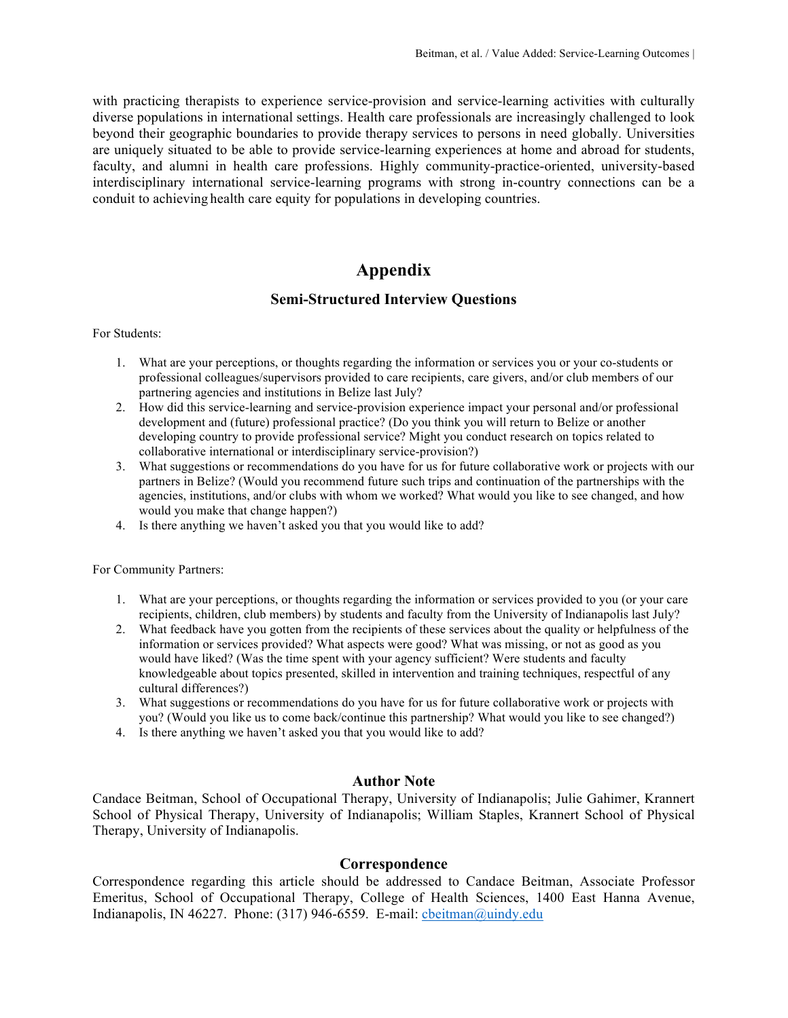with practicing therapists to experience service-provision and service-learning activities with culturally diverse populations in international settings. Health care professionals are increasingly challenged to look beyond their geographic boundaries to provide therapy services to persons in need globally. Universities are uniquely situated to be able to provide service-learning experiences at home and abroad for students, faculty, and alumni in health care professions. Highly community-practice-oriented, university-based interdisciplinary international service-learning programs with strong in-country connections can be a conduit to achieving health care equity for populations in developing countries.

# **Appendix**

## **Semi-Structured Interview Questions**

For Students:

- 1. What are your perceptions, or thoughts regarding the information or services you or your co-students or professional colleagues/supervisors provided to care recipients, care givers, and/or club members of our partnering agencies and institutions in Belize last July?
- 2. How did this service-learning and service-provision experience impact your personal and/or professional development and (future) professional practice? (Do you think you will return to Belize or another developing country to provide professional service? Might you conduct research on topics related to collaborative international or interdisciplinary service-provision?)
- 3. What suggestions or recommendations do you have for us for future collaborative work or projects with our partners in Belize? (Would you recommend future such trips and continuation of the partnerships with the agencies, institutions, and/or clubs with whom we worked? What would you like to see changed, and how would you make that change happen?)
- 4. Is there anything we haven't asked you that you would like to add?

For Community Partners:

- 1. What are your perceptions, or thoughts regarding the information or services provided to you (or your care recipients, children, club members) by students and faculty from the University of Indianapolis last July?
- 2. What feedback have you gotten from the recipients of these services about the quality or helpfulness of the information or services provided? What aspects were good? What was missing, or not as good as you would have liked? (Was the time spent with your agency sufficient? Were students and faculty knowledgeable about topics presented, skilled in intervention and training techniques, respectful of any cultural differences?)
- 3. What suggestions or recommendations do you have for us for future collaborative work or projects with you? (Would you like us to come back/continue this partnership? What would you like to see changed?)
- 4. Is there anything we haven't asked you that you would like to add?

## **Author Note**

Candace Beitman, School of Occupational Therapy, University of Indianapolis; Julie Gahimer, Krannert School of Physical Therapy, University of Indianapolis; William Staples, Krannert School of Physical Therapy, University of Indianapolis.

#### **Correspondence**

Correspondence regarding this article should be addressed to Candace Beitman, Associate Professor Emeritus, School of Occupational Therapy, College of Health Sciences, 1400 East Hanna Avenue, Indianapolis, IN 46227. Phone: (317) 946-6559. E-mail: cbeitman@uindy.edu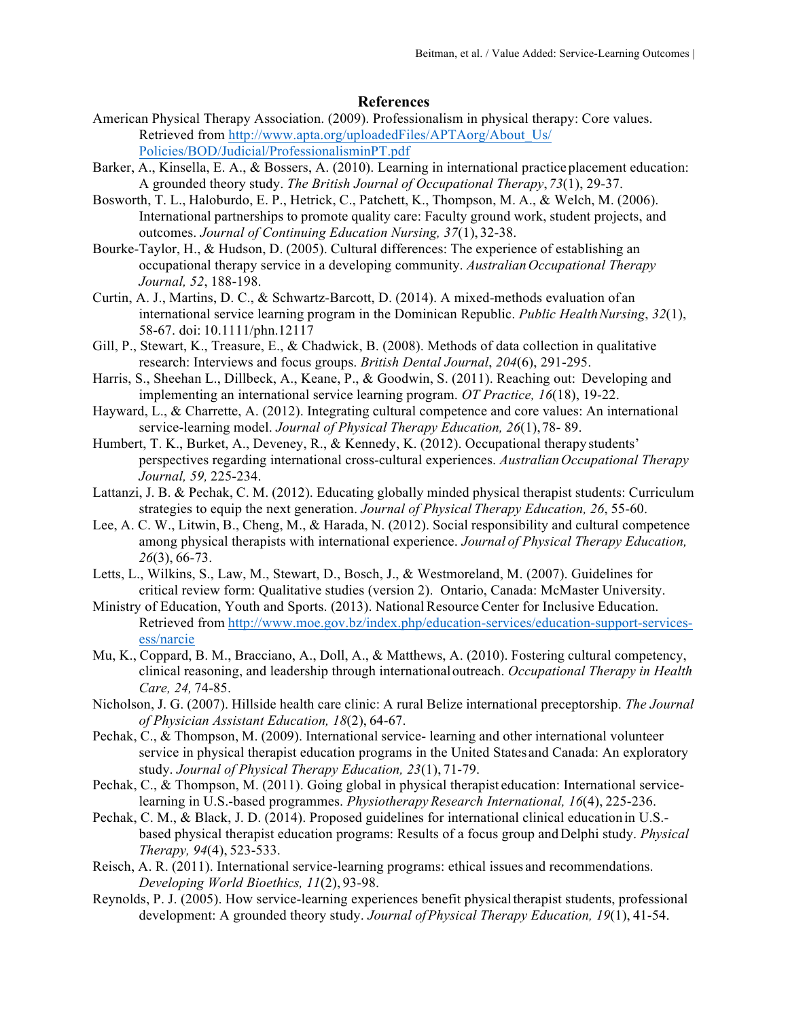### **References**

- American Physical Therapy Association. (2009). Professionalism in physical therapy: Core values. Retrieved from http://www.apta.org/uploadedFiles/APTAorg/About\_Us/ Policies/BOD/Judicial/ProfessionalisminPT.pdf
- Barker, A., Kinsella, E. A., & Bossers, A. (2010). Learning in international practice placement education: A grounded theory study. *The British Journal of Occupational Therapy*,*73*(1), 29-37.
- Bosworth, T. L., Haloburdo, E. P., Hetrick, C., Patchett, K., Thompson, M. A., & Welch, M. (2006). International partnerships to promote quality care: Faculty ground work, student projects, and outcomes. *Journal of Continuing Education Nursing, 37*(1), 32-38.
- Bourke-Taylor, H., & Hudson, D. (2005). Cultural differences: The experience of establishing an occupational therapy service in a developing community. *AustralianOccupational Therapy Journal, 52*, 188-198.
- Curtin, A. J., Martins, D. C., & Schwartz-Barcott, D. (2014). A mixed-methods evaluation of an international service learning program in the Dominican Republic. *Public HealthNursing*, 32(1), 58-67. doi: 10.1111/phn.12117
- Gill, P., Stewart, K., Treasure, E., & Chadwick, B. (2008). Methods of data collection in qualitative research: Interviews and focus groups. *British Dental Journal*, *204*(6), 291-295.
- Harris, S., Sheehan L., Dillbeck, A., Keane, P., & Goodwin, S. (2011). Reaching out: Developing and implementing an international service learning program. *OT Practice, 16*(18), 19-22.
- Hayward, L., & Charrette, A. (2012). Integrating cultural competence and core values: An international service-learning model. *Journal of Physical Therapy Education, 26*(1),78- 89.
- Humbert, T. K., Burket, A., Deveney, R., & Kennedy, K. (2012). Occupational therapy students' perspectives regarding international cross-cultural experiences. *AustralianOccupational Therapy Journal, 59,* 225-234.
- Lattanzi, J. B. & Pechak, C. M. (2012). Educating globally minded physical therapist students: Curriculum strategies to equip the next generation. *Journal of Physical Therapy Education, 26*, 55-60.
- Lee, A. C. W., Litwin, B., Cheng, M., & Harada, N. (2012). Social responsibility and cultural competence among physical therapists with international experience. *Journal of Physical Therapy Education, 26*(3), 66-73.
- Letts, L., Wilkins, S., Law, M., Stewart, D., Bosch, J., & Westmoreland, M. (2007). Guidelines for critical review form: Qualitative studies (version 2). Ontario, Canada: McMaster University.
- Ministry of Education, Youth and Sports. (2013). National Resource Center for Inclusive Education. Retrieved from http://www.moe.gov.bz/index.php/education-services/education-support-servicesess/narcie
- Mu, K., Coppard, B. M., Bracciano, A., Doll, A., & Matthews, A. (2010). Fostering cultural competency, clinical reasoning, and leadership through internationaloutreach. *Occupational Therapy in Health Care, 24,* 74-85.
- Nicholson, J. G. (2007). Hillside health care clinic: A rural Belize international preceptorship. *The Journal of Physician Assistant Education, 18*(2), 64-67.
- Pechak, C., & Thompson, M. (2009). International service- learning and other international volunteer service in physical therapist education programs in the United Statesand Canada: An exploratory study. *Journal of Physical Therapy Education, 23*(1), 71-79.
- Pechak, C., & Thompson, M. (2011). Going global in physical therapist education: International servicelearning in U.S.-based programmes. *Physiotherapy Research International, 16*(4), 225-236.
- Pechak, C. M., & Black, J. D. (2014). Proposed guidelines for international clinical educationin U.S. based physical therapist education programs: Results of a focus group andDelphi study. *Physical Therapy, 94*(4), 523-533.
- Reisch, A. R. (2011). International service-learning programs: ethical issues and recommendations. *Developing World Bioethics, 11*(2), 93-98.
- Reynolds, P. J. (2005). How service-learning experiences benefit physicaltherapist students, professional development: A grounded theory study. *Journal ofPhysical Therapy Education, 19*(1), 41-54.